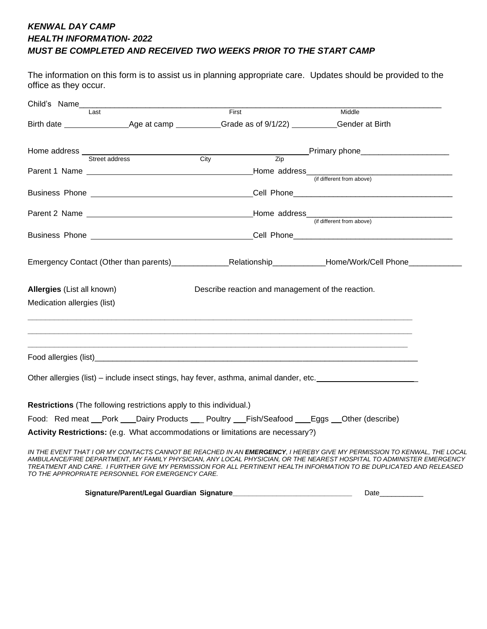## *KENWAL DAY CAMP HEALTH INFORMATION- 2022 MUST BE COMPLETED AND RECEIVED TWO WEEKS PRIOR TO THE START CAMP*

The information on this form is to assist us in planning appropriate care. Updates should be provided to the office as they occur.

| Child's Name                |                                                                                                                                                                                                                                      |                                                   |  |                                                                                                                                                                                                                                                                                                                                                                               |  |
|-----------------------------|--------------------------------------------------------------------------------------------------------------------------------------------------------------------------------------------------------------------------------------|---------------------------------------------------|--|-------------------------------------------------------------------------------------------------------------------------------------------------------------------------------------------------------------------------------------------------------------------------------------------------------------------------------------------------------------------------------|--|
|                             | Last                                                                                                                                                                                                                                 | First                                             |  | Middle                                                                                                                                                                                                                                                                                                                                                                        |  |
|                             |                                                                                                                                                                                                                                      |                                                   |  |                                                                                                                                                                                                                                                                                                                                                                               |  |
|                             |                                                                                                                                                                                                                                      |                                                   |  |                                                                                                                                                                                                                                                                                                                                                                               |  |
|                             |                                                                                                                                                                                                                                      |                                                   |  |                                                                                                                                                                                                                                                                                                                                                                               |  |
|                             |                                                                                                                                                                                                                                      |                                                   |  |                                                                                                                                                                                                                                                                                                                                                                               |  |
|                             |                                                                                                                                                                                                                                      |                                                   |  |                                                                                                                                                                                                                                                                                                                                                                               |  |
|                             |                                                                                                                                                                                                                                      |                                                   |  | <u> 1980 - Johann John Stone, meil in der Stone aus der Stone aus der Stone aus der Stone aus der Stone aus der S</u><br>(if different from above)                                                                                                                                                                                                                            |  |
|                             | Business Phone <b>Contract Contract Contract Contract Contract Contract Contract Contract Contract Contract Contract Contract Contract Contract Contract Contract Contract Contract Contract Contract Contract Contract Contract</b> |                                                   |  |                                                                                                                                                                                                                                                                                                                                                                               |  |
|                             |                                                                                                                                                                                                                                      |                                                   |  | Emergency Contact (Other than parents)____________________________Relationship_______________Home/Work/Cell Phone_______________                                                                                                                                                                                                                                              |  |
| Allergies (List all known)  |                                                                                                                                                                                                                                      | Describe reaction and management of the reaction. |  |                                                                                                                                                                                                                                                                                                                                                                               |  |
| Medication allergies (list) |                                                                                                                                                                                                                                      |                                                   |  |                                                                                                                                                                                                                                                                                                                                                                               |  |
|                             |                                                                                                                                                                                                                                      |                                                   |  |                                                                                                                                                                                                                                                                                                                                                                               |  |
|                             |                                                                                                                                                                                                                                      |                                                   |  | Other allergies (list) – include insect stings, hay fever, asthma, animal dander, etc. _______________________                                                                                                                                                                                                                                                                |  |
|                             | Restrictions (The following restrictions apply to this individual.)                                                                                                                                                                  |                                                   |  |                                                                                                                                                                                                                                                                                                                                                                               |  |
|                             | Food: Red meat Pork Dairy Products _ Poultry Fish/Seafood Eggs Other (describe)                                                                                                                                                      |                                                   |  |                                                                                                                                                                                                                                                                                                                                                                               |  |
|                             | Activity Restrictions: (e.g. What accommodations or limitations are necessary?)                                                                                                                                                      |                                                   |  |                                                                                                                                                                                                                                                                                                                                                                               |  |
|                             | TO THE APPROPRIATE PERSONNEL FOR EMERGENCY CARE                                                                                                                                                                                      |                                                   |  | IN THE EVENT THAT I OR MY CONTACTS CANNOT BE REACHED IN AN <b>EMERGENCY</b> . I HEREBY GIVE MY PERMISSION TO KENWAL, THE LOCAL<br>AMBULANCE/FIRE DEPARTMENT, MY FAMILY PHYSICIAN, ANY LOCAL PHYSICIAN, OR THE NEAREST HOSPITAL TO ADMINISTER EMERGENCY<br>TREATMENT AND CARE. I FURTHER GIVE MY PERMISSION FOR ALL PERTINENT HEALTH INFORMATION TO BE DUPLICATED AND RELEASED |  |

**Signature/Parent/Legal Guardian Signature\_\_\_\_\_\_\_\_\_\_\_\_\_\_\_\_\_\_\_\_\_\_\_\_\_\_\_\_\_\_** Date\_\_\_\_\_\_\_\_\_\_\_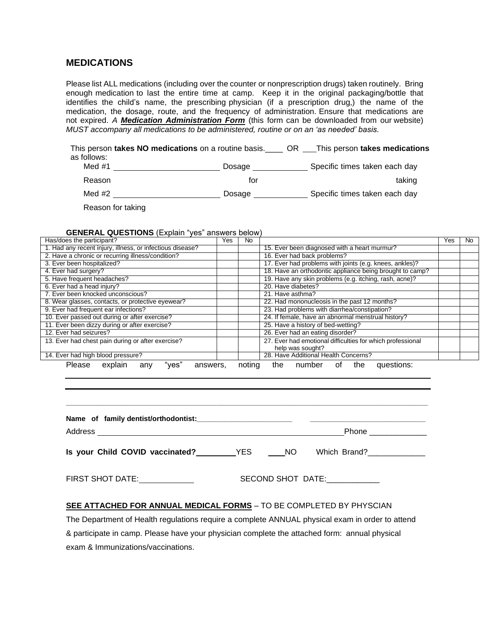## **MEDICATIONS**

Please list ALL medications (including over the counter or nonprescription drugs) taken routinely. Bring enough medication to last the entire time at camp. Keep it in the original packaging/bottle that identifies the child's name, the prescribing physician (if a prescription drug,) the name of the medication, the dosage, route, and the frequency of administration. Ensure that medications are not expired. *A Medication Administration Form* (this form can be downloaded from our website) *MUST accompany all medications to be administered, routine or on an 'as needed' basis.*

This person **takes NO medications** on a routine basis.\_\_\_\_ OR This person **takes medications**  as follows:<br> $Mod H1$ Dosage Specific times taken each day

| $NUU + I$ | Dusaye | OPECTIVE INTIES LANGLE GAULE DAY |
|-----------|--------|----------------------------------|
| Reason    | tor    | taking                           |
| Med #2    | Dosage | Specific times taken each day    |

Reason for taking

#### **GENERAL QUESTIONS** (Explain "yes" answers below)

| Has/does the participant?                                 | Yes. | No.    |                                                            |  | <b>No</b> |
|-----------------------------------------------------------|------|--------|------------------------------------------------------------|--|-----------|
| 1. Had any recent injury, illness, or infectious disease? |      |        | 15. Ever been diagnosed with a heart murmur?               |  |           |
| 2. Have a chronic or recurring illness/condition?         |      |        | 16. Ever had back problems?                                |  |           |
| 3. Ever been hospitalized?                                |      |        | 17. Ever had problems with joints (e.g. knees, ankles)?    |  |           |
| 4. Ever had surgery?                                      |      |        | 18. Have an orthodontic appliance being brought to camp?   |  |           |
| 5. Have frequent headaches?                               |      |        | 19. Have any skin problems (e.g. itching, rash, acne)?     |  |           |
| 6. Ever had a head injury?                                |      |        | 20. Have diabetes?                                         |  |           |
| 7. Ever been knocked unconscious?                         |      |        | 21. Have asthma?                                           |  |           |
| 8. Wear glasses, contacts, or protective eyewear?         |      |        | 22. Had mononucleosis in the past 12 months?               |  |           |
| 9. Ever had frequent ear infections?                      |      |        | 23. Had problems with diarrhea/constipation?               |  |           |
| 10. Ever passed out during or after exercise?             |      |        | 24. If female, have an abnormal menstrual history?         |  |           |
| 11. Ever been dizzy during or after exercise?             |      |        | 25. Have a history of bed-wetting?                         |  |           |
| 12. Ever had seizures?                                    |      |        | 26. Ever had an eating disorder?                           |  |           |
| 13. Ever had chest pain during or after exercise?         |      |        | 27. Ever had emotional difficulties for which professional |  |           |
|                                                           |      |        | help was sought?                                           |  |           |
| 14. Ever had high blood pressure?                         |      |        | 28. Have Additional Health Concerns?                       |  |           |
| "ves"<br>Please<br>explain<br>answers,<br>any             |      | noting | questions:<br>of the<br>the<br>number                      |  |           |

|                                     |                   |              | Phone ______________ |
|-------------------------------------|-------------------|--------------|----------------------|
| Is your Child COVID vaccinated? VES | NO.               | Which Brand? |                      |
| <b>FIRST SHOT DATE:</b>             | SECOND SHOT DATE: |              |                      |

**\_\_\_\_\_\_\_\_\_\_\_\_\_\_\_\_\_\_\_\_\_\_\_\_\_\_\_\_\_\_\_\_\_\_\_\_\_\_\_\_\_\_\_\_\_\_\_\_\_\_\_\_\_\_\_\_\_\_\_\_\_\_\_\_\_\_\_\_\_\_\_\_\_\_\_\_\_\_\_\_\_\_\_\_\_\_\_\_\_\_\_**

### **SEE ATTACHED FOR ANNUAL MEDICAL FORMS** – TO BE COMPLETED BY PHYSCIAN

The Department of Health regulations require a complete ANNUAL physical exam in order to attend & participate in camp. Please have your physician complete the attached form: annual physical exam & Immunizations/vaccinations.